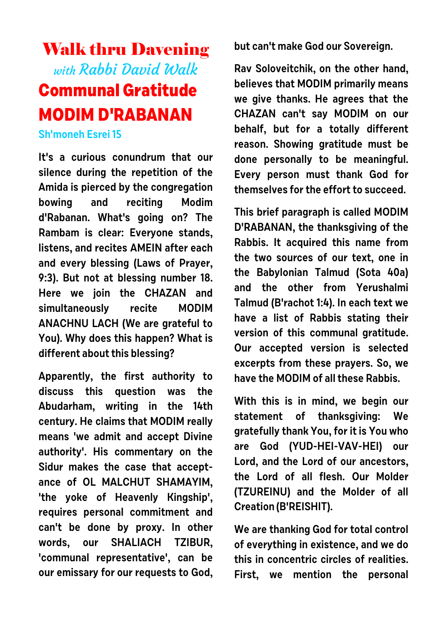## Walk thru Davening with Rabbi David Walk **Communal Gratitude MODIM D'RABANAN**

## **Sh'moneh Esrei 15**

**It's a curious conundrum that our silence during the repetition of the Amida is pierced by the congregation bowing and reciting Modim d'Rabanan. What's going on? The Rambam is clear: Everyone stands, listens, and recites AMEIN after each and every blessing (Laws of Prayer, 9:3). But not at blessing number 18. Here we join the CHAZAN and simultaneously recite MODIM ANACHNU LACH (We are grateful to You). Why does this happen? What is different about this blessing?**

**Apparently, the first authority to discuss this question was the Abudarham, writing in the 14th century. He claims that MODIM really means 'we admit and accept Divine authority'. His commentary on the Sidur makes the case that acceptance of OL MALCHUT SHAMAYIM, 'the yoke of Heavenly Kingship', requires personal commitment and can't be done by proxy. In other words, our SHALIACH TZIBUR, 'communal representative', can be our emissary for our requests to God,** **but can't make God our Sovereign.**

**Rav Soloveitchik, on the other hand, believes that MODIM primarily means we give thanks. He agrees that the CHAZAN can't say MODIM on our behalf, but for a totally different reason. Showing gratitude must be done personally to be meaningful. Every person must thank God for themselves for the effort to succeed.**

**This brief paragraph is called MODIM D'RABANAN, the thanksgiving of the Rabbis. It acquired this name from the two sources of our text, one in the Babylonian Talmud (Sota 40a) and the other from Yerushalmi Talmud (B'rachot 1:4). In each text we have a list of Rabbis stating their version of this communal gratitude. Our accepted version is selected excerpts from these prayers. So, we have the MODIM of all these Rabbis.**

**With this is in mind, we begin our statement of thanksgiving: We gratefully thank You, for it is You who are God (YUD-HEI-VAV-HEI) our Lord, and the Lord of our ancestors, the Lord of all flesh. Our Molder (TZUREINU) and the Molder of all Creation (B'REISHIT).**

**We are thanking God for total control of everything in existence, and we do this in concentric circles of realities. First, we mention the personal**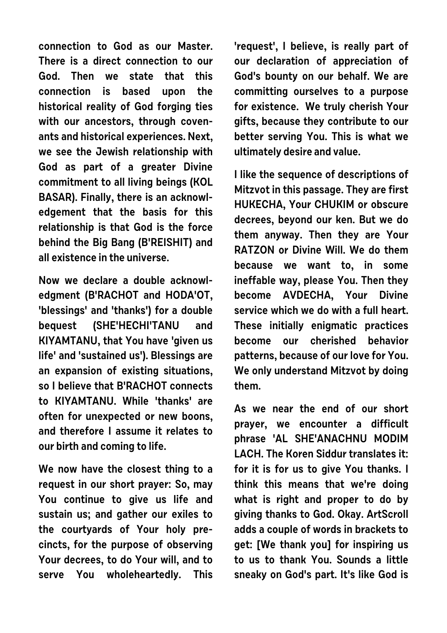**connection to God as our Master. There is a direct connection to our God. Then we state that this connection is based upon the historical reality of God forging ties with our ancestors, through covenants and historical experiences. Next, we see the Jewish relationship with God as part of a greater Divine commitment to all living beings (KOL BASAR). Finally, there is an acknowledgement that the basis for this relationship is that God is the force behind the Big Bang (B'REISHIT) and all existence in the universe.**

**Now we declare a double acknowledgment (B'RACHOT and HODA'OT, 'blessings' and 'thanks') for a double bequest (SHE'HECHI'TANU and KIYAMTANU, that You have 'given us life' and 'sustained us'). Blessings are an expansion of existing situations, so I believe that B'RACHOT connects to KIYAMTANU. While 'thanks' are often for unexpected or new boons, and therefore I assume it relates to our birth and coming to life.**

**We now have the closest thing to a request in our short prayer: So, may You continue to give us life and sustain us; and gather our exiles to the courtyards of Your holy precincts, for the purpose of observing Your decrees, to do Your will, and to serve You wholeheartedly. This**

**'request', I believe, is really part of our declaration of appreciation of God's bounty on our behalf. We are committing ourselves to a purpose for existence. We truly cherish Your gifts, because they contribute to our better serving You. This is what we ultimately desire and value.**

**I like the sequence of descriptions of Mitzvot in this passage. They are first HUKECHA, Your CHUKIM or obscure decrees, beyond our ken. But we do them anyway. Then they are Your RATZON or Divine Will. We do them because we want to, in some ineffable way, please You. Then they become AVDECHA, Your Divine service which we do with a full heart. These initially enigmatic practices become our cherished behavior patterns, because of our love for You. We only understand Mitzvot by doing them.**

**As we near the end of our short prayer, we encounter a difficult phrase 'AL SHE'ANACHNU MODIM LACH. The Koren Siddur translates it: for it is for us to give You thanks. I think this means that we're doing what is right and proper to do by giving thanks to God. Okay. ArtScroll adds a couple of words in brackets to get: [We thank you] for inspiring us to us to thank You. Sounds a little sneaky on God's part. It's like God is**